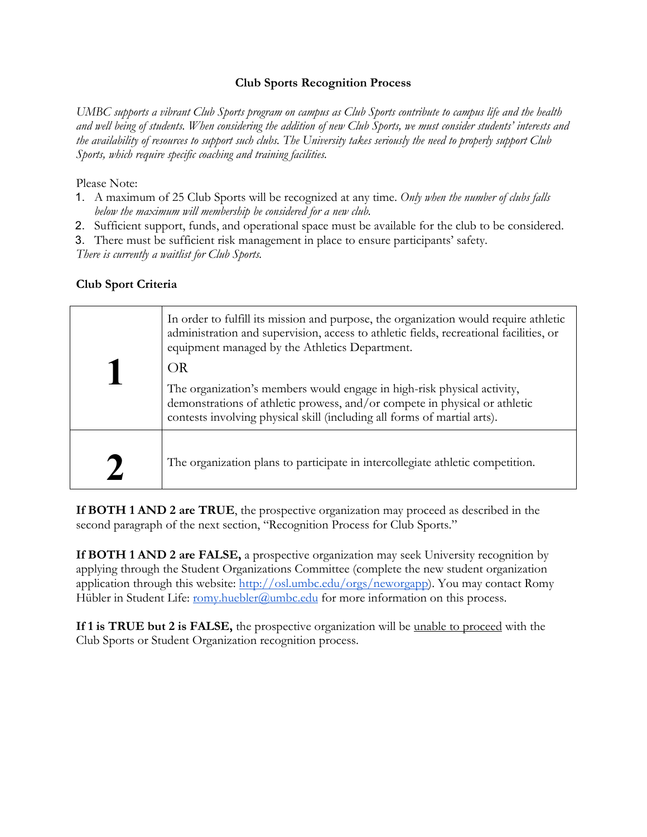#### **Club Sports Recognition Process**

*UMBC supports a vibrant Club Sports program on campus as Club Sports contribute to campus life and the health and well being of students. When considering the addition of new Club Sports, we must consider students' interests and the availability of resources to support such clubs. The University takes seriously the need to properly support Club Sports, which require specific coaching and training facilities.* 

Please Note:

- 1. A maximum of 25 Club Sports will be recognized at any time. *Only when the number of clubs falls below the maximum will membership be considered for a new club.*
- 2. Sufficient support, funds, and operational space must be available for the club to be considered.
- 3. There must be sufficient risk management in place to ensure participants' safety.

*There is currently a waitlist for Club Sports.* 

# **Club Sport Criteria**

|  | In order to fulfill its mission and purpose, the organization would require athletic<br>administration and supervision, access to athletic fields, recreational facilities, or<br>equipment managed by the Athletics Department.<br>OR |
|--|----------------------------------------------------------------------------------------------------------------------------------------------------------------------------------------------------------------------------------------|
|  | The organization's members would engage in high-risk physical activity,<br>demonstrations of athletic prowess, and/or compete in physical or athletic<br>contests involving physical skill (including all forms of martial arts).      |
|  | The organization plans to participate in intercollegiate athletic competition.                                                                                                                                                         |

**If BOTH 1 AND 2 are TRUE**, the prospective organization may proceed as described in the second paragraph of the next section, "Recognition Process for Club Sports."

**If BOTH 1 AND 2 are FALSE,** a prospective organization may seek University recognition by applying through the Student Organizations Committee (complete the new student organization application through this website: http://osl.umbc.edu/orgs/neworgapp). You may contact Romy Hübler in Student Life: romy.huebler@umbc.edu for more information on this process.

**If 1 is TRUE but 2 is FALSE,** the prospective organization will be <u>unable to proceed</u> with the Club Sports or Student Organization recognition process.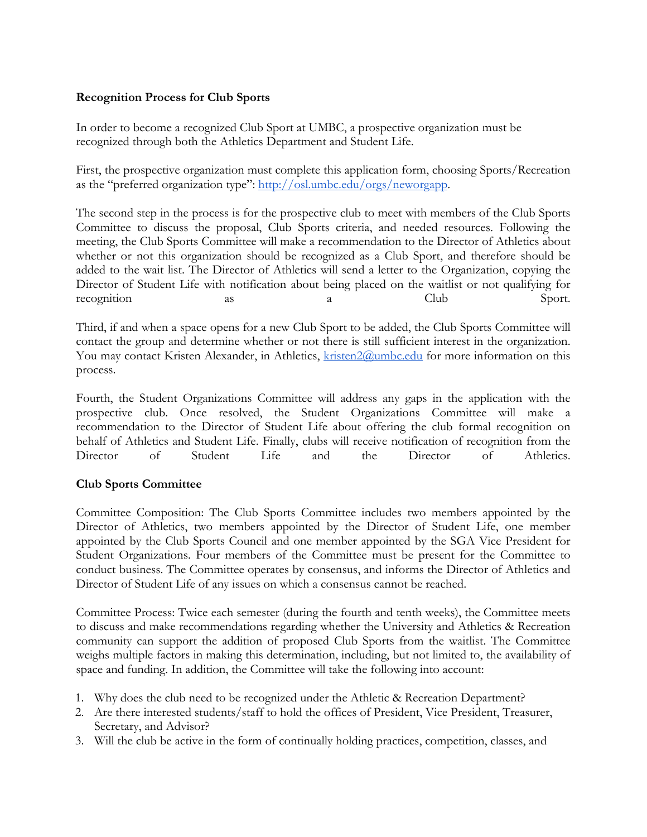#### **Recognition Process for Club Sports**

In order to become a recognized Club Sport at UMBC, a prospective organization must be recognized through both the Athletics Department and Student Life.

First, the prospective organization must complete this application form, choosing Sports/Recreation as the "preferred organization type": http://osl.umbc.edu/orgs/neworgapp.

The second step in the process is for the prospective club to meet with members of the Club Sports Committee to discuss the proposal, Club Sports criteria, and needed resources. Following the meeting, the Club Sports Committee will make a recommendation to the Director of Athletics about whether or not this organization should be recognized as a Club Sport, and therefore should be added to the wait list. The Director of Athletics will send a letter to the Organization, copying the Director of Student Life with notification about being placed on the waitlist or not qualifying for recognition as a a Club Sport.

Third, if and when a space opens for a new Club Sport to be added, the Club Sports Committee will contact the group and determine whether or not there is still sufficient interest in the organization. You may contact Kristen Alexander, in Athletics, kristen2@umbc.edu for more information on this process.

Fourth, the Student Organizations Committee will address any gaps in the application with the prospective club. Once resolved, the Student Organizations Committee will make a recommendation to the Director of Student Life about offering the club formal recognition on behalf of Athletics and Student Life. Finally, clubs will receive notification of recognition from the Director of Student Life and the Director of Athletics.

#### **Club Sports Committee**

Committee Composition: The Club Sports Committee includes two members appointed by the Director of Athletics, two members appointed by the Director of Student Life, one member appointed by the Club Sports Council and one member appointed by the SGA Vice President for Student Organizations. Four members of the Committee must be present for the Committee to conduct business. The Committee operates by consensus, and informs the Director of Athletics and Director of Student Life of any issues on which a consensus cannot be reached.

Committee Process: Twice each semester (during the fourth and tenth weeks), the Committee meets to discuss and make recommendations regarding whether the University and Athletics & Recreation community can support the addition of proposed Club Sports from the waitlist. The Committee weighs multiple factors in making this determination, including, but not limited to, the availability of space and funding. In addition, the Committee will take the following into account:

- 1. Why does the club need to be recognized under the Athletic & Recreation Department?
- 2. Are there interested students/staff to hold the offices of President, Vice President, Treasurer, Secretary, and Advisor?
- 3. Will the club be active in the form of continually holding practices, competition, classes, and